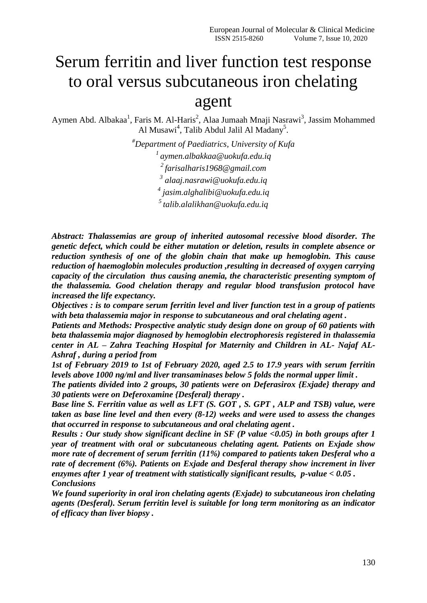# Serum ferritin and liver function test response to oral versus subcutaneous iron chelating agent

Aymen Abd. Albakaa<sup>1</sup>, Faris M. Al-Haris<sup>2</sup>, Alaa Jumaah Mnaji Nasrawi<sup>3</sup>, Jassim Mohammed Al Musawi<sup>4</sup>, Talib Abdul Jalil Al Madany<sup>5</sup>.

> *#Department of Paediatrics, University of Kufa [aymen.albakkaa@uokufa.edu.iq](mailto:1%20aymen.albakkaa@uokufa.edu.iq) [farisalharis1968@gmail.com](mailto:2farisalharis1968@gmail.com) [alaaj.nasrawi@uokufa.edu.iq](mailto:alaaj.nasrawi@uokufa.edu.iq) [jasim.alghalibi@uokufa.edu.iq](mailto:jasim.alghalibi@uokufa.edu.iq) talib.alalikhan@uokufa.edu.iq*

*Abstract: Thalassemias are group of inherited autosomal recessive blood disorder. The genetic defect, which could be either mutation or deletion, results in complete absence or reduction synthesis of one of the globin chain that make up hemoglobin. This cause reduction of haemoglobin molecules production ,resulting in decreased of oxygen carrying capacity of the circulation thus causing anemia, the characteristic presenting symptom of the thalassemia. Good chelation therapy and regular blood transfusion protocol have increased the life expectancy.* 

*Objectives : is to compare serum ferritin level and liver function test in a group of patients with beta thalassemia major in response to subcutaneous and oral chelating agent .*

*Patients and Methods: Prospective analytic study design done on group of 60 patients with beta thalassemia major diagnosed by hemoglobin electrophoresis registered in thalassemia center in AL – Zahra Teaching Hospital for Maternity and Children in AL- Najaf AL-Ashraf , during a period from* 

*1st of February 2019 to 1st of February 2020, aged 2.5 to 17.9 years with serum ferritin levels above 1000 ng/ml and liver transaminases below 5 folds the normal upper limit .* 

*The patients divided into 2 groups, 30 patients were on Deferasirox {Exjade} therapy and 30 patients were on Deferoxamine {Desferal} therapy .* 

*Base line S. Ferritin value as well as LFT (S. GOT , S. GPT , ALP and TSB) value, were taken as base line level and then every (8-12) weeks and were used to assess the changes that occurred in response to subcutaneous and oral chelating agent .* 

*Results : Our study show significant decline in SF (P value <0.05) in both groups after 1 year of treatment with oral or subcutaneous chelating agent. Patients on Exjade show more rate of decrement of serum ferritin (11%) compared to patients taken Desferal who a rate of decrement (6%). Patients on Exjade and Desferal therapy show increment in liver enzymes after 1 year of treatment with statistically significant results, p-value < 0.05 . Conclusions* 

*We found superiority in oral iron chelating agents (Exjade) to subcutaneous iron chelating agents (Desferal). Serum ferritin level is suitable for long term monitoring as an indicator of efficacy than liver biopsy .*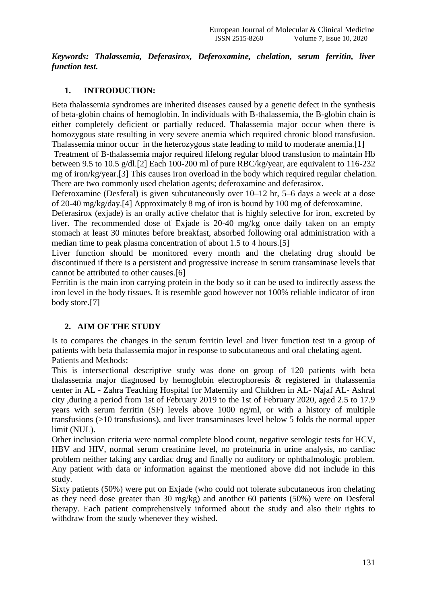*Keywords: Thalassemia, Deferasirox, Deferoxamine, chelation, serum ferritin, liver function test.*

# **1. INTRODUCTION:**

Beta thalassemia syndromes are inherited diseases caused by a genetic defect in the synthesis of beta-globin chains of hemoglobin. In individuals with B-thalassemia, the B-globin chain is either completely deficient or partially reduced. Thalassemia major occur when there is homozygous state resulting in very severe anemia which required chronic blood transfusion. Thalassemia minor occur in the heterozygous state leading to mild to moderate anemia.[1]

Treatment of B-thalassemia major required lifelong regular blood transfusion to maintain Hb between 9.5 to 10.5 g/dl.[2] Each 100-200 ml of pure RBC/kg/year, are equivalent to 116-232 mg of iron/kg/year.[3] This causes iron overload in the body which required regular chelation. There are two commonly used chelation agents; deferoxamine and deferasirox.

Deferoxamine (Desferal) is given subcutaneously over 10–12 hr, 5–6 days a week at a dose of 20-40 mg/kg/day.[4] Approximately 8 mg of iron is bound by 100 mg of deferoxamine.

Deferasirox (exjade) is an orally active chelator that is highly selective for iron, excreted by liver. The recommended dose of Exjade is 20-40 mg/kg once daily taken on an empty stomach at least 30 minutes before breakfast, absorbed following oral administration with a median time to peak plasma concentration of about 1.5 to 4 hours.[5]

Liver function should be monitored every month and the chelating drug should be discontinued if there is a persistent and progressive increase in serum transaminase levels that cannot be attributed to other causes.[6]

Ferritin is the main iron carrying protein in the body so it can be used to indirectly assess the iron level in the body tissues. It is resemble good however not 100% reliable indicator of iron body store.[7]

# **2. AIM OF THE STUDY**

Is to compares the changes in the serum ferritin level and liver function test in a group of patients with beta thalassemia major in response to subcutaneous and oral chelating agent. Patients and Methods:

This is intersectional descriptive study was done on group of 120 patients with beta thalassemia major diagnosed by hemoglobin electrophoresis & registered in thalassemia center in AL - Zahra Teaching Hospital for Maternity and Children in AL- Najaf AL- Ashraf city ,during a period from 1st of February 2019 to the 1st of February 2020, aged 2.5 to 17.9 years with serum ferritin (SF) levels above 1000 ng/ml, or with a history of multiple transfusions (>10 transfusions), and liver transaminases level below 5 folds the normal upper limit (NUL).

Other inclusion criteria were normal complete blood count, negative serologic tests for HCV, HBV and HIV, normal serum creatinine level, no proteinuria in urine analysis, no cardiac problem neither taking any cardiac drug and finally no auditory or ophthalmologic problem. Any patient with data or information against the mentioned above did not include in this study.

Sixty patients (50%) were put on Exjade (who could not tolerate subcutaneous iron chelating as they need dose greater than 30 mg/kg) and another 60 patients (50%) were on Desferal therapy. Each patient comprehensively informed about the study and also their rights to withdraw from the study whenever they wished.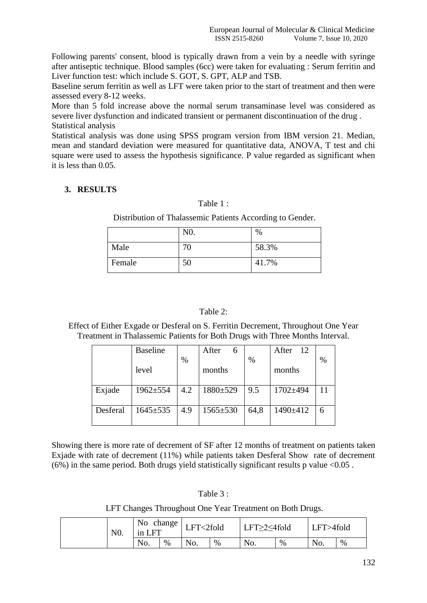Following parents' consent, blood is typically drawn from a vein by a needle with syringe after antiseptic technique. Blood samples (6cc) were taken for evaluating : Serum ferritin and Liver function test: which include S. GOT, S. GPT, ALP and TSB.

Baseline serum ferritin as well as LFT were taken prior to the start of treatment and then were assessed every 8-12 weeks.

More than 5 fold increase above the normal serum transaminase level was considered as severe liver dysfunction and indicated transient or permanent discontinuation of the drug . Statistical analysis

Statistical analysis was done using SPSS program version from IBM version 21. Median, mean and standard deviation were measured for quantitative data, ANOVA, T test and chi square were used to assess the hypothesis significance. P value regarded as significant when it is less than 0.05.

# **3. RESULTS**

# Table 1 :

Distribution of Thalassemic Patients According to Gender.

|        | N <sub>0</sub> . | $\%$  |
|--------|------------------|-------|
| Male   | 70               | 58.3% |
| Female | 50               | 41.7% |

# Table 2:

Effect of Either Exgade or Desferal on S. Ferritin Decrement, Throughout One Year Treatment in Thalassemic Patients for Both Drugs with Three Months Interval.

|          | <b>Baseline</b> |      | After<br>6     |      | After 12 |      |
|----------|-----------------|------|----------------|------|----------|------|
|          |                 | $\%$ |                | $\%$ |          | $\%$ |
|          | level           |      | months         |      | months   |      |
|          |                 |      |                |      |          |      |
| Exjade   | $1962 \pm 554$  | 4.2  | 1880±529       | 9.5  | 1702±494 |      |
|          |                 |      |                |      |          |      |
| Desferal | $1645 \pm 535$  | 4.9  | $1565 \pm 530$ | 64,8 | 1490±412 |      |
|          |                 |      |                |      |          |      |

Showing there is more rate of decrement of SF after 12 months of treatment on patients taken Exjade with rate of decrement (11%) while patients taken Desferal Show rate of decrement (6%) in the same period. Both drugs yield statistically significant results p value  $\langle 0.05 \rangle$ .

| Table 3 |  |  |
|---------|--|--|
|         |  |  |
|         |  |  |

LFT Changes Throughout One Year Treatment on Both Drugs.

| N <sub>0</sub> . |  | No<br>change<br><b>LFT</b><br>1n |      | LFT<2fold |   | LFT≥2≤4fold |   | LFT>4fold |      |
|------------------|--|----------------------------------|------|-----------|---|-------------|---|-----------|------|
|                  |  | No.                              | $\%$ | No.       | % | No.         | % | No.       | $\%$ |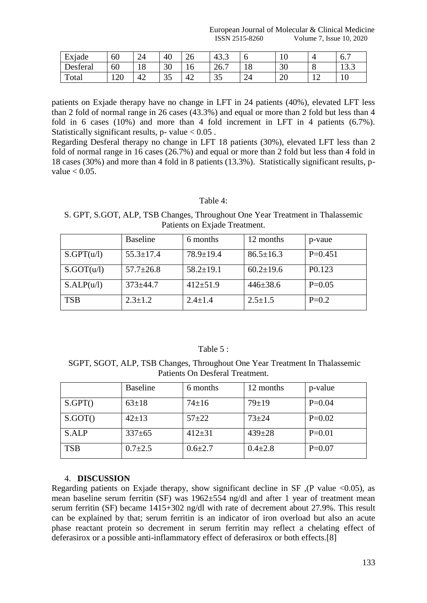European Journal of Molecular & Clinical Medicine **ISSN 2515-8260** Volume 7, Issue 10, 2020

| Exjade             | 60  | 24            | 40       | ^`<br>۷b | $\Lambda$<br>43.5                |              | ΙV       |                | _<br>0.7               |
|--------------------|-----|---------------|----------|----------|----------------------------------|--------------|----------|----------------|------------------------|
| $\sim$<br>Desteral | 60  | $\circ$<br>10 | 30       | 10       | $\overline{\phantom{0}}$<br>26.7 | 18           | 30       | v              | $\sim$ $\sim$<br>1 J.J |
| Total              | 120 | 42            | 25<br>JJ | 42       | $\overline{C}$<br>IJ             | $\sim$<br>24 | ററ<br>∠∪ | 1 <sub>c</sub> | ⊥ ∪                    |

patients on Exjade therapy have no change in LFT in 24 patients (40%), elevated LFT less than 2 fold of normal range in 26 cases (43.3%) and equal or more than 2 fold but less than 4 fold in 6 cases (10%) and more than 4 fold increment in LFT in 4 patients (6.7%). Statistically significant results, p- value  $< 0.05$ .

Regarding Desferal therapy no change in LFT 18 patients (30%), elevated LFT less than 2 fold of normal range in 16 cases (26.7%) and equal or more than 2 fold but less than 4 fold in 18 cases (30%) and more than 4 fold in 8 patients (13.3%). Statistically significant results, pvalue  $< 0.05$ .

#### Table 4:

S. GPT, S.GOT, ALP, TSB Changes, Throughout One Year Treatment in Thalassemic Patients on Exjade Treatment.

|            | <b>Baseline</b> | 6 months        | 12 months       | p-vaue             |
|------------|-----------------|-----------------|-----------------|--------------------|
| S.GPT(u/l) | $55.3 \pm 17.4$ | $78.9 \pm 19.4$ | $86.5 \pm 16.3$ | $P=0.451$          |
| S.GOT(u/l) | $57.7 \pm 26.8$ | $58.2 \pm 19.1$ | $60.2 \pm 19.6$ | P <sub>0.123</sub> |
| S.ALP(u/l) | $373 + 44.7$    | $412 + 51.9$    | $446 \pm 38.6$  | $P=0.05$           |
| <b>TSB</b> | $2.3 \pm 1.2$   | $2.4 \pm 1.4$   | $2.5 \pm 1.5$   | $P=0.2$            |

#### Table 5 :

SGPT, SGOT, ALP, TSB Changes, Throughout One Year Treatment In Thalassemic Patients On Desferal Treatment.

|            | <b>Baseline</b> | 6 months      | 12 months     | p-value  |
|------------|-----------------|---------------|---------------|----------|
| S.GPT()    | $63 \pm 18$     | $74 \pm 16$   | $79 \pm 19$   | $P=0.04$ |
| S.GOT()    | $42 \pm 13$     | $57 + 22$     | $73 + 24$     | $P=0.02$ |
| S.ALP      | $337 \pm 65$    | $412 \pm 31$  | $439 \pm 28$  | $P=0.01$ |
| <b>TSB</b> | $0.7 \pm 2.5$   | $0.6{\pm}2.7$ | $0.4 \pm 2.8$ | $P=0.07$ |

#### 4. **DISCUSSION**

Regarding patients on Exjade therapy, show significant decline in  $SF$ ,  $(P$  value <0.05), as mean baseline serum ferritin (SF) was 1962±554 ng/dl and after 1 year of treatment mean serum ferritin (SF) became 1415+302 ng/dl with rate of decrement about 27.9%. This result can be explained by that; serum ferritin is an indicator of iron overload but also an acute phase reactant protein so decrement in serum ferritin may reflect a chelating effect of deferasirox or a possible anti-inflammatory effect of deferasirox or both effects.[8]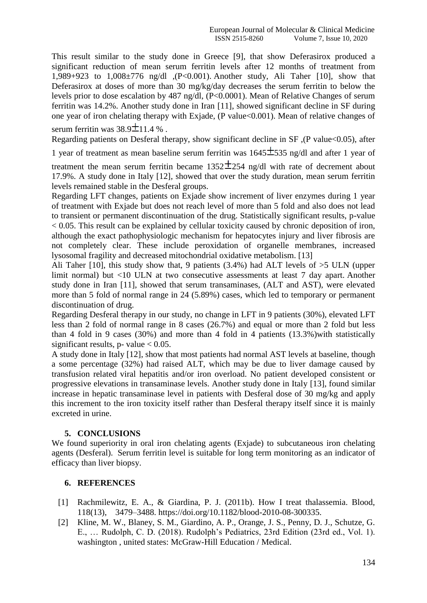This result similar to the study done in Greece [9], that show Deferasirox produced a significant reduction of mean serum ferritin levels after 12 months of treatment from 1,989+923 to 1,008±776 ng/dl ,(P<0.001). Another study, Ali Taher [10], show that Deferasirox at doses of more than 30 mg/kg/day decreases the serum ferritin to below the levels prior to dose escalation by 487 ng/dl, (P<0.0001). Mean of Relative Changes of serum ferritin was 14.2%. Another study done in Iran [11], showed significant decline in SF during one year of iron chelating therapy with Exjade, (P value<0.001). Mean of relative changes of serum ferritin was  $38.9 \pm 11.4$  %.

Regarding patients on Desferal therapy, show significant decline in SF, (P value<0.05), after

1 year of treatment as mean baseline serum ferritin was  $1645\pm535$  ng/dl and after 1 year of

treatment the mean serum ferritin became  $1352 \pm 254$  ng/dl with rate of decrement about 17.9%. A study done in Italy [12], showed that over the study duration, mean serum ferritin levels remained stable in the Desferal groups.

Regarding LFT changes, patients on Exjade show increment of liver enzymes during 1 year of treatment with Exjade but does not reach level of more than 5 fold and also does not lead to transient or permanent discontinuation of the drug. Statistically significant results, p-value  $< 0.05$ . This result can be explained by cellular toxicity caused by chronic deposition of iron, although the exact pathophysiologic mechanism for hepatocytes injury and liver fibrosis are not completely clear. These include peroxidation of organelle membranes, increased lysosomal fragility and decreased mitochondrial oxidative metabolism. [13]

Ali Taher [10], this study show that, 9 patients (3.4%) had ALT levels of >5 ULN (upper limit normal) but <10 ULN at two consecutive assessments at least 7 day apart. Another study done in Iran [11], showed that serum transaminases, (ALT and AST), were elevated more than 5 fold of normal range in 24 (5.89%) cases, which led to temporary or permanent discontinuation of drug.

Regarding Desferal therapy in our study, no change in LFT in 9 patients (30%), elevated LFT less than 2 fold of normal range in 8 cases (26.7%) and equal or more than 2 fold but less than 4 fold in 9 cases (30%) and more than 4 fold in 4 patients (13.3%)with statistically significant results, p- value  $< 0.05$ .

A study done in Italy [12], show that most patients had normal AST levels at baseline, though a some percentage (32%) had raised ALT, which may be due to liver damage caused by transfusion related viral hepatitis and/or iron overload. No patient developed consistent or progressive elevations in transaminase levels. Another study done in Italy [13], found similar increase in hepatic transaminase level in patients with Desferal dose of 30 mg/kg and apply this increment to the iron toxicity itself rather than Desferal therapy itself since it is mainly excreted in urine.

# **5. CONCLUSIONS**

We found superiority in oral iron chelating agents (Exiade) to subcutaneous iron chelating agents (Desferal). Serum ferritin level is suitable for long term monitoring as an indicator of efficacy than liver biopsy.

# **6. REFERENCES**

- [1] Rachmilewitz, E. A., & Giardina, P. J. (2011b). How I treat thalassemia. Blood, 118(13), 3479–3488. [https://doi.org/10.1182/blood-2010-08-300335.](https://doi.org/10.1182/blood-2010-08-300335)
- [2] Kline, M. W., Blaney, S. M., Giardino, A. P., Orange, J. S., Penny, D. J., Schutze, G. E., … Rudolph, C. D. (2018). Rudolph's Pediatrics, 23rd Edition (23rd ed., Vol. 1). washington , united states: McGraw-Hill Education / Medical.